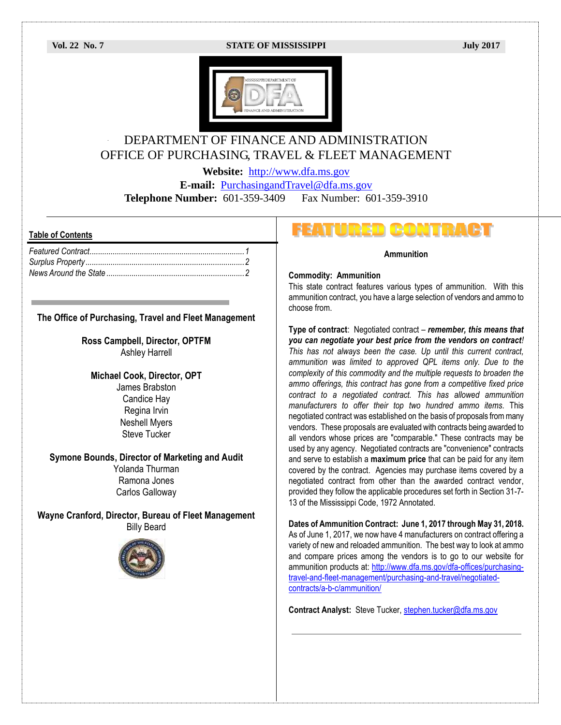### **Vol. 22 No. 7 STATE OF MISSISSIPPI July 2017**



# DEPARTMENT OF FINANCE AND ADMINISTRATION OFFICE OF PURCHASING, TRAVEL & FLEET MANAGEMENT

**Website:** [http://www.dfa.ms.gov](http://www.dfa.ms.gov/)

**E-mail:** [PurchasingandTravel@dfa.ms.gov](mailto:PurchasingandTravel@dfa.ms.gov)

**Telephone Number:** 601-359-3409 Fax Number: 601-359-3910

## **Table of Contents**

# **The Office of Purchasing, Travel and Fleet Management**

**Ross Campbell, Director, OPTFM** Ashley Harrell

**Michael Cook, Director, OPT** James Brabston Candice Hay Regina Irvin Neshell Myers Steve Tucker

# **Symone Bounds, Director of Marketing and Audit**

Yolanda Thurman Ramona Jones Carlos Galloway

**Wayne Cranford, Director, Bureau of Fleet Management** Billy Beard



# **FEATURED CONTRACT**

#### **Ammunition**

#### **Commodity: Ammunition**

This state contract features various types of ammunition. With this ammunition contract, you have a large selection of vendors and ammo to choose from.

**Type of contract**: Negotiated contract – *remember, this means that you can negotiate your best price from the vendors on contract! This has not always been the case. Up until this current contract, ammunition was limited to approved QPL items only. Due to the complexity of this commodity and the multiple requests to broaden the ammo offerings, this contract has gone from a competitive fixed price contract to a negotiated contract. This has allowed ammunition manufacturers to offer their top two hundred ammo items.* This negotiated contract was established on the basis of proposals from many vendors. These proposals are evaluated with contracts being awarded to all vendors whose prices are "comparable." These contracts may be used by any agency. Negotiated contracts are "convenience" contracts and serve to establish a **maximum price** that can be paid for any item covered by the contract. Agencies may purchase items covered by a negotiated contract from other than the awarded contract vendor, provided they follow the applicable procedures set forth in Section 31-7- 13 of the Mississippi Code, 1972 Annotated.

**Dates of Ammunition Contract: June 1, 2017 through May 31, 2018.** As of June 1, 2017, we now have 4 manufacturers on contract offering a variety of new and reloaded ammunition. The best way to look at ammo and compare prices among the vendors is to go to our website for ammunition products at: [http://www.dfa.ms.gov/dfa-offices/purchasing](http://www.dfa.ms.gov/dfa-offices/purchasing-travel-and-fleet-management/purchasing-and-travel/negotiated-contracts/a-b-c/ammunition/)[travel-and-fleet-management/purchasing-and-travel/negotiated](http://www.dfa.ms.gov/dfa-offices/purchasing-travel-and-fleet-management/purchasing-and-travel/negotiated-contracts/a-b-c/ammunition/)[contracts/a-b-c/ammunition/](http://www.dfa.ms.gov/dfa-offices/purchasing-travel-and-fleet-management/purchasing-and-travel/negotiated-contracts/a-b-c/ammunition/)

**Contract Analyst:** Steve Tucker, [stephen.tucker@dfa.ms.gov](mailto:stephen.tucker@dfa.ms.gov)